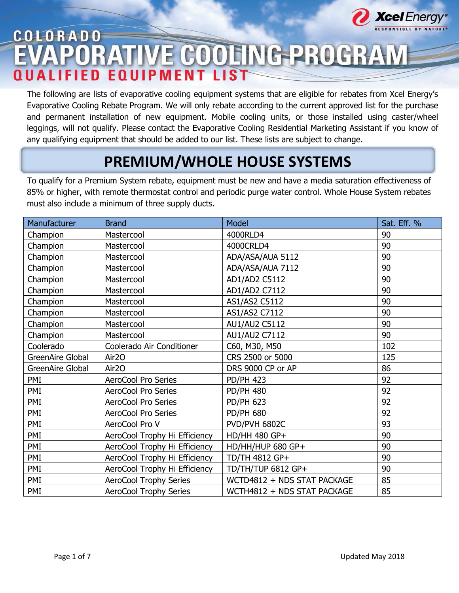

# COLORADO E COOLING PROGRAM I I S T

The following are lists of evaporative cooling equipment systems that are eligible for rebates from Xcel Energy's Evaporative Cooling Rebate Program. We will only rebate according to the current approved list for the purchase and permanent installation of new equipment. Mobile cooling units, or those installed using caster/wheel leggings, will not qualify. Please contact the Evaporative Cooling Residential Marketing Assistant if you know of any qualifying equipment that should be added to our list. These lists are subject to change.

## **PREMIUM/WHOLE HOUSE SYSTEMS**

To qualify for a Premium System rebate, equipment must be new and have a media saturation effectiveness of 85% or higher, with remote thermostat control and periodic purge water control. Whole House System rebates must also include a minimum of three supply ducts.

| Manufacturer     | <b>Brand</b>                  | Model                       | Sat. Eff. % |
|------------------|-------------------------------|-----------------------------|-------------|
| Champion         | Mastercool                    | 4000RLD4                    | 90          |
| Champion         | Mastercool                    | 4000CRLD4                   | 90          |
| Champion         | Mastercool                    | ADA/ASA/AUA 5112            | 90          |
| Champion         | Mastercool                    | ADA/ASA/AUA 7112            | 90          |
| Champion         | Mastercool                    | AD1/AD2 C5112               | 90          |
| Champion         | Mastercool                    | AD1/AD2 C7112               | 90          |
| Champion         | Mastercool                    | AS1/AS2 C5112               | 90          |
| Champion         | Mastercool                    | AS1/AS2 C7112               | 90          |
| Champion         | Mastercool                    | AU1/AU2 C5112               | 90          |
| Champion         | Mastercool                    | AU1/AU2 C7112               | 90          |
| Coolerado        | Coolerado Air Conditioner     | C60, M30, M50               | 102         |
| GreenAire Global | Air <sub>20</sub>             | CRS 2500 or 5000            | 125         |
| GreenAire Global | Air <sub>20</sub>             | DRS 9000 CP or AP           | 86          |
| PMI              | AeroCool Pro Series           | <b>PD/PH 423</b>            | 92          |
| PMI              | AeroCool Pro Series           | <b>PD/PH 480</b>            | 92          |
| PMI              | AeroCool Pro Series           | <b>PD/PH 623</b>            | 92          |
| PMI              | AeroCool Pro Series           | <b>PD/PH 680</b>            | 92          |
| PMI              | AeroCool Pro V                | PVD/PVH 6802C               | 93          |
| PMI              | AeroCool Trophy Hi Efficiency | HD/HH 480 GP+               | 90          |
| PMI              | AeroCool Trophy Hi Efficiency | HD/HH/HUP 680 GP+           | 90          |
| PMI              | AeroCool Trophy Hi Efficiency | TD/TH 4812 GP+              | 90          |
| PMI              | AeroCool Trophy Hi Efficiency | TD/TH/TUP 6812 GP+          | 90          |
| PMI              | <b>AeroCool Trophy Series</b> | WCTD4812 + NDS STAT PACKAGE | 85          |
| PMI              | <b>AeroCool Trophy Series</b> | WCTH4812 + NDS STAT PACKAGE | 85          |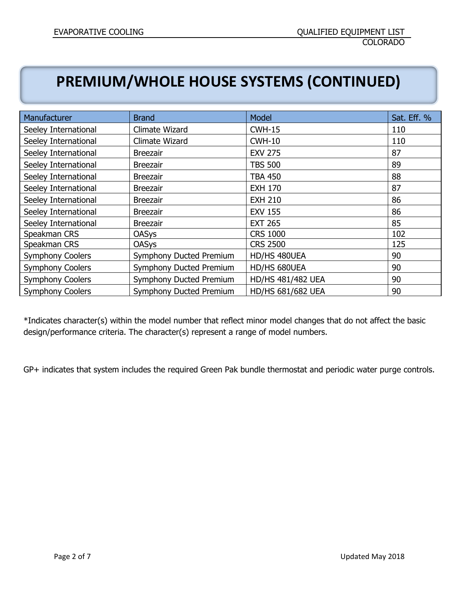### **PREMIUM/WHOLE HOUSE SYSTEMS (CONTINUED)**

| Manufacturer            | <b>Brand</b>                   | Model                    | Sat. Eff. % |
|-------------------------|--------------------------------|--------------------------|-------------|
| Seeley International    | Climate Wizard                 | $CWH-15$                 | 110         |
| Seeley International    | Climate Wizard                 | $CWH-10$                 | 110         |
| Seeley International    | <b>Breezair</b>                | <b>EXV 275</b>           | 87          |
| Seeley International    | <b>Breezair</b>                | <b>TBS 500</b>           | 89          |
| Seeley International    | <b>Breezair</b>                | <b>TBA 450</b>           | 88          |
| Seeley International    | <b>Breezair</b>                | <b>EXH 170</b>           | 87          |
| Seeley International    | <b>Breezair</b>                | <b>EXH 210</b>           | 86          |
| Seeley International    | <b>Breezair</b>                | <b>EXV 155</b>           | 86          |
| Seeley International    | <b>Breezair</b>                | <b>EXT 265</b>           | 85          |
| Speakman CRS            | <b>OASys</b>                   | <b>CRS 1000</b>          | 102         |
| Speakman CRS            | <b>OASys</b>                   | <b>CRS 2500</b>          | 125         |
| <b>Symphony Coolers</b> | Symphony Ducted Premium        | HD/HS 480UEA             | 90          |
| <b>Symphony Coolers</b> | <b>Symphony Ducted Premium</b> | HD/HS 680UEA             | 90          |
| <b>Symphony Coolers</b> | <b>Symphony Ducted Premium</b> | <b>HD/HS 481/482 UEA</b> | 90          |
| <b>Symphony Coolers</b> | Symphony Ducted Premium        | <b>HD/HS 681/682 UEA</b> | 90          |

\*Indicates character(s) within the model number that reflect minor model changes that do not affect the basic design/performance criteria. The character(s) represent a range of model numbers.

GP+ indicates that system includes the required Green Pak bundle thermostat and periodic water purge controls.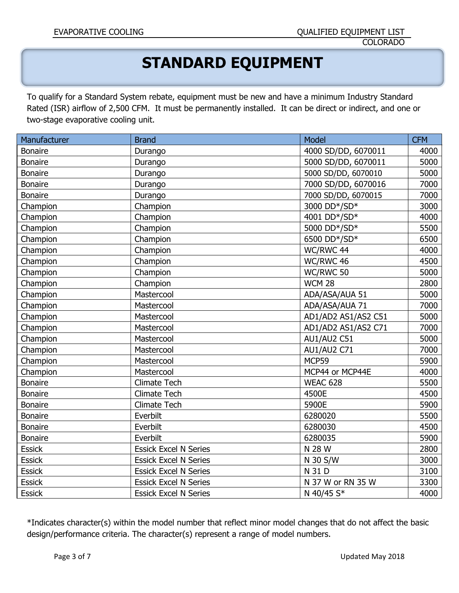### **STANDARD EQUIPMENT**

To qualify for a Standard System rebate, equipment must be new and have a minimum Industry Standard Rated (ISR) airflow of 2,500 CFM. It must be permanently installed. It can be direct or indirect, and one or two-stage evaporative cooling unit.

| Manufacturer   | <b>Brand</b>                 | Model               | <b>CFM</b> |
|----------------|------------------------------|---------------------|------------|
| <b>Bonaire</b> | Durango                      | 4000 SD/DD, 6070011 | 4000       |
| <b>Bonaire</b> | Durango                      | 5000 SD/DD, 6070011 | 5000       |
| <b>Bonaire</b> | Durango                      | 5000 SD/DD, 6070010 | 5000       |
| <b>Bonaire</b> | Durango                      | 7000 SD/DD, 6070016 | 7000       |
| <b>Bonaire</b> | Durango                      | 7000 SD/DD, 6070015 | 7000       |
| Champion       | Champion                     | 3000 DD*/SD*        | 3000       |
| Champion       | Champion                     | 4001 DD*/SD*        | 4000       |
| Champion       | Champion                     | 5000 DD*/SD*        | 5500       |
| Champion       | Champion                     | 6500 DD*/SD*        | 6500       |
| Champion       | Champion                     | WC/RWC 44           | 4000       |
| Champion       | Champion                     | WC/RWC 46           | 4500       |
| Champion       | Champion                     | WC/RWC 50           | 5000       |
| Champion       | Champion                     | <b>WCM 28</b>       | 2800       |
| Champion       | Mastercool                   | ADA/ASA/AUA 51      | 5000       |
| Champion       | Mastercool                   | ADA/ASA/AUA 71      | 7000       |
| Champion       | Mastercool                   | AD1/AD2 AS1/AS2 C51 | 5000       |
| Champion       | Mastercool                   | AD1/AD2 AS1/AS2 C71 | 7000       |
| Champion       | Mastercool                   | <b>AU1/AU2 C51</b>  | 5000       |
| Champion       | Mastercool                   | <b>AU1/AU2 C71</b>  | 7000       |
| Champion       | Mastercool                   | MCP59               | 5900       |
| Champion       | Mastercool                   | MCP44 or MCP44E     | 4000       |
| <b>Bonaire</b> | <b>Climate Tech</b>          | WEAC 628            | 5500       |
| <b>Bonaire</b> | <b>Climate Tech</b>          | 4500E               | 4500       |
| Bonaire        | <b>Climate Tech</b>          | 5900E               | 5900       |
| <b>Bonaire</b> | Everbilt                     | 6280020             | 5500       |
| <b>Bonaire</b> | Everbilt                     | 6280030             | 4500       |
| <b>Bonaire</b> | Everbilt                     | 6280035             | 5900       |
| <b>Essick</b>  | <b>Essick Excel N Series</b> | N 28 W              | 2800       |
| <b>Essick</b>  | <b>Essick Excel N Series</b> | N 30 S/W            | 3000       |
| <b>Essick</b>  | <b>Essick Excel N Series</b> | N 31 D              | 3100       |
| <b>Essick</b>  | <b>Essick Excel N Series</b> | N 37 W or RN 35 W   | 3300       |
| <b>Essick</b>  | <b>Essick Excel N Series</b> | N 40/45 S*          | 4000       |

\*Indicates character(s) within the model number that reflect minor model changes that do not affect the basic design/performance criteria. The character(s) represent a range of model numbers.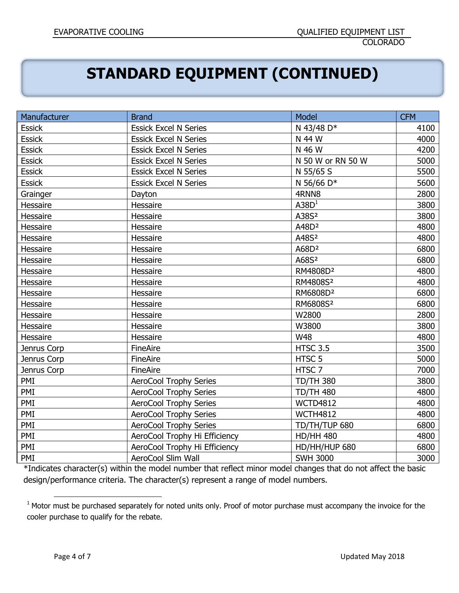# **STANDARD EQUIPMENT (CONTINUED)**

| Manufacturer  | <b>Brand</b>                  | Model                | <b>CFM</b> |
|---------------|-------------------------------|----------------------|------------|
| <b>Essick</b> | <b>Essick Excel N Series</b>  | N 43/48 D*           | 4100       |
| <b>Essick</b> | <b>Essick Excel N Series</b>  | N 44 W               | 4000       |
| <b>Essick</b> | <b>Essick Excel N Series</b>  | N 46 W               | 4200       |
| <b>Essick</b> | <b>Essick Excel N Series</b>  | N 50 W or RN 50 W    | 5000       |
| <b>Essick</b> | <b>Essick Excel N Series</b>  | N 55/65 S            | 5500       |
| <b>Essick</b> | <b>Essick Excel N Series</b>  | N 56/66 D*           | 5600       |
| Grainger      | Dayton                        | 4RNN8                | 2800       |
| Hessaire      | Hessaire                      | A38D <sup>1</sup>    | 3800       |
| Hessaire      | Hessaire                      | A38S <sup>2</sup>    | 3800       |
| Hessaire      | Hessaire                      | A48D <sup>2</sup>    | 4800       |
| Hessaire      | Hessaire                      | A48S <sup>2</sup>    | 4800       |
| Hessaire      | Hessaire                      | A68D <sup>2</sup>    | 6800       |
| Hessaire      | Hessaire                      | A68S <sup>2</sup>    | 6800       |
| Hessaire      | Hessaire                      | RM4808D <sup>2</sup> | 4800       |
| Hessaire      | Hessaire                      | RM4808S <sup>2</sup> | 4800       |
| Hessaire      | Hessaire                      | RM6808D <sup>2</sup> | 6800       |
| Hessaire      | Hessaire                      | RM6808S <sup>2</sup> | 6800       |
| Hessaire      | Hessaire                      | W2800                | 2800       |
| Hessaire      | Hessaire                      | W3800                | 3800       |
| Hessaire      | Hessaire                      | <b>W48</b>           | 4800       |
| Jenrus Corp   | FineAire                      | <b>HTSC 3.5</b>      | 3500       |
| Jenrus Corp   | FineAire                      | HTSC <sub>5</sub>    | 5000       |
| Jenrus Corp   | FineAire                      | HTSC 7               | 7000       |
| PMI           | <b>AeroCool Trophy Series</b> | <b>TD/TH 380</b>     | 3800       |
| PMI           | <b>AeroCool Trophy Series</b> | <b>TD/TH 480</b>     | 4800       |
| PMI           | <b>AeroCool Trophy Series</b> | <b>WCTD4812</b>      | 4800       |
| PMI           | <b>AeroCool Trophy Series</b> | <b>WCTH4812</b>      | 4800       |
| PMI           | <b>AeroCool Trophy Series</b> | TD/TH/TUP 680        | 6800       |
| PMI           | AeroCool Trophy Hi Efficiency | <b>HD/HH 480</b>     | 4800       |
| PMI           | AeroCool Trophy Hi Efficiency | HD/HH/HUP 680        | 6800       |
| PMI           | AeroCool Slim Wall            | <b>SWH 3000</b>      | 3000       |

\*Indicates character(s) within the model number that reflect minor model changes that do not affect the basic design/performance criteria. The character(s) represent a range of model numbers.

 $\overline{\phantom{a}}$ 

 $1$  Motor must be purchased separately for noted units only. Proof of motor purchase must accompany the invoice for the cooler purchase to qualify for the rebate.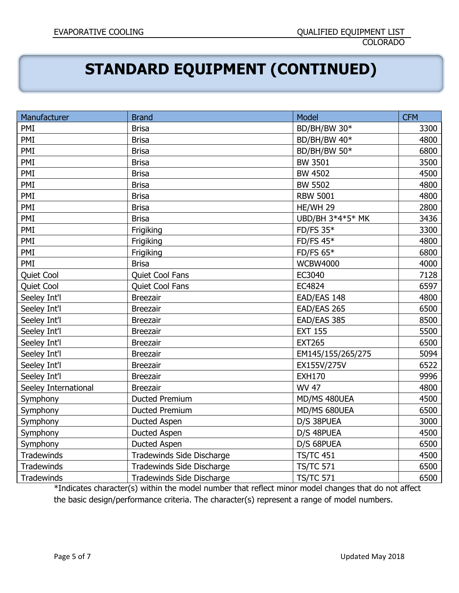## **STANDARD EQUIPMENT (CONTINUED)**

| Manufacturer         | <b>Brand</b>                     | Model             | <b>CFM</b> |
|----------------------|----------------------------------|-------------------|------------|
| PMI                  | <b>Brisa</b>                     | BD/BH/BW 30*      | 3300       |
| PMI                  | <b>Brisa</b>                     | BD/BH/BW 40*      | 4800       |
| PMI                  | <b>Brisa</b>                     | BD/BH/BW 50*      | 6800       |
| PMI                  | <b>Brisa</b>                     | <b>BW 3501</b>    | 3500       |
| PMI                  | <b>Brisa</b>                     | <b>BW 4502</b>    | 4500       |
| PMI                  | <b>Brisa</b>                     | <b>BW 5502</b>    | 4800       |
| PMI                  | <b>Brisa</b>                     | <b>RBW 5001</b>   | 4800       |
| PMI                  | <b>Brisa</b>                     | HE/WH 29          | 2800       |
| PMI                  | <b>Brisa</b>                     | UBD/BH 3*4*5* MK  | 3436       |
| PMI                  | Frigiking                        | <b>FD/FS 35*</b>  | 3300       |
| PMI                  | Frigiking                        | FD/FS $45*$       | 4800       |
| PMI                  | Frigiking                        | FD/FS $65*$       | 6800       |
| PMI                  | <b>Brisa</b>                     | <b>WCBW4000</b>   | 4000       |
| Quiet Cool           | Quiet Cool Fans                  | EC3040            | 7128       |
| Quiet Cool           | Quiet Cool Fans                  | EC4824            | 6597       |
| Seeley Int'l         | <b>Breezair</b>                  | EAD/EAS 148       | 4800       |
| Seeley Int'l         | <b>Breezair</b>                  | EAD/EAS 265       | 6500       |
| Seeley Int'l         | <b>Breezair</b>                  | EAD/EAS 385       | 8500       |
| Seeley Int'l         | <b>Breezair</b>                  | <b>EXT 155</b>    | 5500       |
| Seeley Int'l         | <b>Breezair</b>                  | <b>EXT265</b>     | 6500       |
| Seeley Int'l         | <b>Breezair</b>                  | EM145/155/265/275 | 5094       |
| Seeley Int'l         | <b>Breezair</b>                  | EX155V/275V       | 6522       |
| Seeley Int'l         | <b>Breezair</b>                  | <b>EXH170</b>     | 9996       |
| Seeley International | <b>Breezair</b>                  | WV 47             | 4800       |
| Symphony             | <b>Ducted Premium</b>            | MD/MS 480UEA      | 4500       |
| Symphony             | Ducted Premium                   | MD/MS 680UEA      | 6500       |
| Symphony             | <b>Ducted Aspen</b>              | D/S 38PUEA        | 3000       |
| Symphony             | Ducted Aspen                     | D/S 48PUEA        | 4500       |
| Symphony             | Ducted Aspen                     | D/S 68PUEA        | 6500       |
| Tradewinds           | Tradewinds Side Discharge        | <b>TS/TC 451</b>  | 4500       |
| Tradewinds           | Tradewinds Side Discharge        | <b>TS/TC 571</b>  | 6500       |
| Tradewinds           | <b>Tradewinds Side Discharge</b> | <b>TS/TC 571</b>  | 6500       |

\*Indicates character(s) within the model number that reflect minor model changes that do not affect the basic design/performance criteria. The character(s) represent a range of model numbers.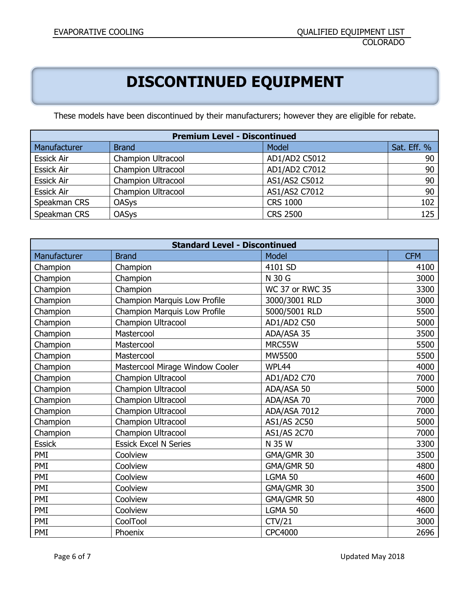# **DISCONTINUED EQUIPMENT**

These models have been discontinued by their manufacturers; however they are eligible for rebate.

| <b>Premium Level - Discontinued</b> |                           |                 |             |
|-------------------------------------|---------------------------|-----------------|-------------|
| Manufacturer                        | <b>Brand</b>              | Model           | Sat. Eff. % |
| <b>Essick Air</b>                   | <b>Champion Ultracool</b> | AD1/AD2 C5012   | 90          |
| <b>Essick Air</b>                   | <b>Champion Ultracool</b> | AD1/AD2 C7012   | 90          |
| <b>Essick Air</b>                   | <b>Champion Ultracool</b> | AS1/AS2 C5012   | 90          |
| <b>Essick Air</b>                   | <b>Champion Ultracool</b> | AS1/AS2 C7012   | 90          |
| Speakman CRS                        | <b>OASys</b>              | <b>CRS 1000</b> | 102         |
| Speakman CRS                        | <b>OASys</b>              | <b>CRS 2500</b> | 125         |

| <b>Standard Level - Discontinued</b> |                                 |                        |            |
|--------------------------------------|---------------------------------|------------------------|------------|
| Manufacturer                         | <b>Brand</b>                    | Model                  | <b>CFM</b> |
| Champion                             | Champion                        | 4101 SD                | 4100       |
| Champion                             | Champion                        | N 30 G                 | 3000       |
| Champion                             | Champion                        | <b>WC 37 or RWC 35</b> | 3300       |
| Champion                             | Champion Marquis Low Profile    | 3000/3001 RLD          | 3000       |
| Champion                             | Champion Marquis Low Profile    | 5000/5001 RLD          | 5500       |
| Champion                             | Champion Ultracool              | AD1/AD2 C50            | 5000       |
| Champion                             | Mastercool                      | ADA/ASA 35             | 3500       |
| Champion                             | Mastercool                      | MRC55W                 | 5500       |
| Champion                             | Mastercool                      | MW5500                 | 5500       |
| Champion                             | Mastercool Mirage Window Cooler | WPL44                  | 4000       |
| Champion                             | Champion Ultracool              | AD1/AD2 C70            | 7000       |
| Champion                             | Champion Ultracool              | ADA/ASA 50             | 5000       |
| Champion                             | Champion Ultracool              | ADA/ASA 70             | 7000       |
| Champion                             | Champion Ultracool              | ADA/ASA 7012           | 7000       |
| Champion                             | Champion Ultracool              | <b>AS1/AS 2C50</b>     | 5000       |
| Champion                             | Champion Ultracool              | AS1/AS 2C70            | 7000       |
| <b>Essick</b>                        | <b>Essick Excel N Series</b>    | N 35 W                 | 3300       |
| PMI                                  | Coolview                        | GMA/GMR 30             | 3500       |
| PMI                                  | Coolview                        | GMA/GMR 50             | 4800       |
| PMI                                  | Coolview                        | LGMA 50                | 4600       |
| PMI                                  | Coolview                        | GMA/GMR 30             | 3500       |
| PMI                                  | Coolview                        | GMA/GMR 50             | 4800       |
| PMI                                  | Coolview                        | LGMA 50                | 4600       |
| PMI                                  | CoolTool                        | CTV/21                 | 3000       |
| PMI                                  | Phoenix                         | <b>CPC4000</b>         | 2696       |